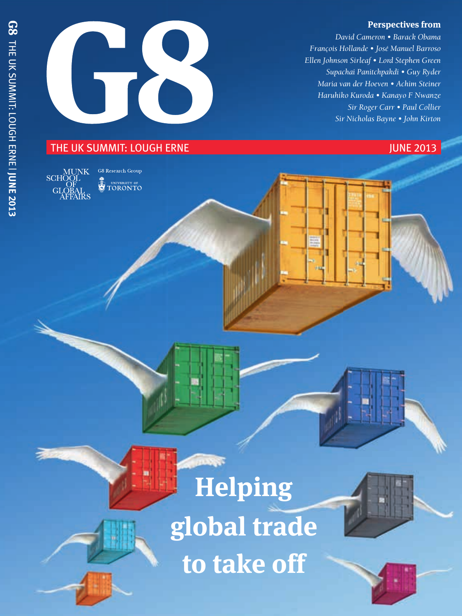### **Perspectives from**

*David Cameron • Barack Obama François Hollande • José Manuel Barroso Ellen Johnson Sirleaf • Lord Stephen Green Supachai Panitchpakdi • Guy Ryder Maria van der Hoeven • Achim Steiner Haruhiko Kuroda • Kanayo F Nwanze Sir Roger Carr • Paul Collier Sir Nicholas Bayne • John Kirton*

### THE UK SUMMIT: LOUGH ERNE **THE UK SUMMIT: LOUGH ERNE**



**G8** Research Group UNIVERSITY OF<br>TORONTO

# **Helping global trade to take off**





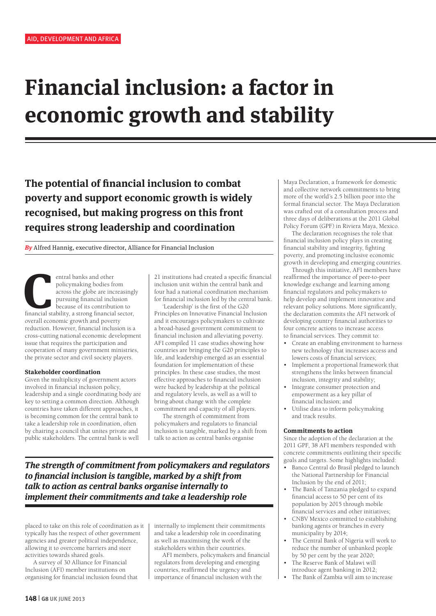## **Financial inclusion: a factor in economic growth and stability**

**The potential of financial inclusion to combat poverty and support economic growth is widely recognised, but making progress on this front requires strong leadership and coordination**

**By** Alfred Hannig, executive director, Alliance for Financial Inclusion

entral banks and other<br>
policymaking bodies from<br>
across the globe are increasingl<br>
pursuing financial inclusion<br>
because of its contribution to<br>
financial stability, a strong financial sector, policymaking bodies from across the globe are increasingly pursuing financial inclusion because of its contribution to overall economic growth and poverty reduction. However, financial inclusion is a cross-cutting national economic development issue that requires the participation and cooperation of many government ministries, the private sector and civil society players.

### **Stakeholder coordination**

Given the multiplicity of government actors involved in financial inclusion policy, leadership and a single coordinating body are key to setting a common direction. Although countries have taken different approaches, it is becoming common for the central bank to take a leadership role in coordination, often by chairing a council that unites private and public stakeholders. The central bank is well

21 institutions had created a specific financial inclusion unit within the central bank and four had a national coordination mechanism for financial inclusion led by the central bank.

'Leadership' is the first of the G20 Principles on Innovative Financial Inclusion and it encourages policymakers to cultivate a broad-based government commitment to financial inclusion and alleviating poverty. AFI compiled 11 case studies showing how countries are bringing the G20 principles to life, and leadership emerged as an essential foundation for implementation of these principles. In these case studies, the most effective approaches to financial inclusion were backed by leadership at the political and regulatory levels, as well as a will to bring about change with the complete commitment and capacity of all players.

The strength of commitment from policymakers and regulators to financial inclusion is tangible, marked by a shift from talk to action as central banks organise

**The strength of commitment from policymakers and regulators to financial inclusion is tangible, marked by a shift from talk to action as central banks organise internally to implement their commitments and take a leadership role**

placed to take on this role of coordination as it typically has the respect of other government agencies and greater political independence, allowing it to overcome barriers and steer activities towards shared goals.

A survey of 30 Alliance for Financial Inclusion (AFI) member institutions on organising for financial inclusion found that internally to implement their commitments and take a leadership role in coordinating as well as maximising the work of the stakeholders within their countries.

AFI members, policymakers and financial regulators from developing and emerging countries, reaffirmed the urgency and importance of financial inclusion with the

Maya Declaration, a framework for domestic and collective network commitments to bring more of the world's 2.5 billion poor into the formal financial sector. The Maya Declaration was crafted out of a consultation process and three days of deliberations at the 2011 Global Policy Forum (GPF) in Riviera Maya, Mexico.

The declaration recognises the role that financial inclusion policy plays in creating financial stability and integrity, fighting poverty, and promoting inclusive economic growth in developing and emerging countries.

Through this initiative, AFI members have reaffirmed the importance of peer-to-peer knowledge exchange and learning among financial regulators and policymakers to help develop and implement innovative and relevant policy solutions. More significantly, the declaration commits the AFI network of developing country financial authorities to four concrete actions to increase access to financial services. They commit to:

- Create an enabling environment to harness new technology that increases access and lowers costs of financial services;
- Implement a proportional framework that strengthens the links between financial inclusion, integrity and stability;
- Integrate consumer protection and empowerment as a key pillar of financial inclusion; and
- Utilise data to inform policymaking and track results.

#### **Commitments to action**

Since the adoption of the declaration at the 2011 GPF, 38 AFI members responded with concrete commitments outlining their specific goals and targets. Some highlights included:

- Banco Central do Brasil pledged to launch the National Partnership for Financial Inclusion by the end of 2011;
- The Bank of Tanzania pledged to expand financial access to 50 per cent of its population by 2015 through mobile financial services and other initiatives;
- CNBV Mexico committed to establishing banking agents or branches in every municipality by 2014;
- The Central Bank of Nigeria will work to reduce the number of unbanked people by 50 per cent by the year 2020;
- The Reserve Bank of Malawi will introduce agent banking in 2012;
- The Bank of Zambia will aim to increase